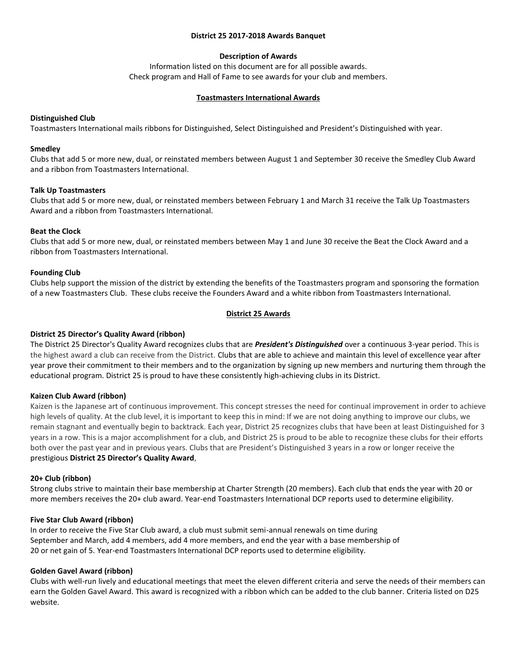### **District 25 2017-2018 Awards Banquet**

# **Description of Awards**

Information listed on this document are for all possible awards. Check program and Hall of Fame to see awards for your club and members.

### **Toastmasters International Awards**

## **Distinguished Club**

Toastmasters International mails ribbons for Distinguished, Select Distinguished and President's Distinguished with year.

### **Smedley**

Clubs that add 5 or more new, dual, or reinstated members between August 1 and September 30 receive the Smedley Club Award and a ribbon from Toastmasters International.

## **Talk Up Toastmasters**

Clubs that add 5 or more new, dual, or reinstated members between February 1 and March 31 receive the Talk Up Toastmasters Award and a ribbon from Toastmasters International.

## **Beat the Clock**

Clubs that add 5 or more new, dual, or reinstated members between May 1 and June 30 receive the Beat the Clock Award and a ribbon from Toastmasters International.

## **Founding Club**

Clubs help support the mission of the district by extending the benefits of the Toastmasters program and sponsoring the formation of a new Toastmasters Club. These clubs receive the Founders Award and a white ribbon from Toastmasters International.

## **District 25 Awards**

# **District 25 Director's Quality Award (ribbon)**

The District 25 Director's Quality Award recognizes clubs that are *President's Distinguished* over a continuous 3-year period. This is the highest award a club can receive from the District. Clubs that are able to achieve and maintain this level of excellence year after year prove their commitment to their members and to the organization by signing up new members and nurturing them through the educational program. District 25 is proud to have these consistently high-achieving clubs in its District.

#### **Kaizen Club Award (ribbon)**

Kaizen is the Japanese art of continuous improvement. This concept stresses the need for continual improvement in order to achieve high levels of quality. At the club level, it is important to keep this in mind: If we are not doing anything to improve our clubs, we remain stagnant and eventually begin to backtrack. Each year, District 25 recognizes clubs that have been at least Distinguished for 3 years in a row. This is a major accomplishment for a club, and District 25 is proud to be able to recognize these clubs for their efforts both over the past year and in previous years. Clubs that are President's Distinguished 3 years in a row or longer receive the prestigious **[District 25 Director](http://d25toastmasters.org/halloffame/qualityaward.html)'s Quality Award**,

#### **20+ Club (ribbon)**

Strong clubs strive to maintain their base membership at Charter Strength (20 members). Each club that ends the year with 20 or more members receives the 20+ club award. Year-end Toastmasters International DCP reports used to determine eligibility.

# **Five Star Club Award (ribbon)**

In order to receive the Five Star Club award, a club must submit semi-annual renewals on time during September and March, add 4 members, add 4 more members, and end the year with a base membership of 20 or net gain of 5. Year-end Toastmasters International DCP reports used to determine eligibility.

#### **Golden Gavel Award (ribbon)**

Clubs with well-run lively and educational meetings that meet the eleven different criteria and serve the needs of their members can earn the Golden Gavel Award. This award is recognized with a ribbon which can be added to the club banner. Criteria listed on D25 website.